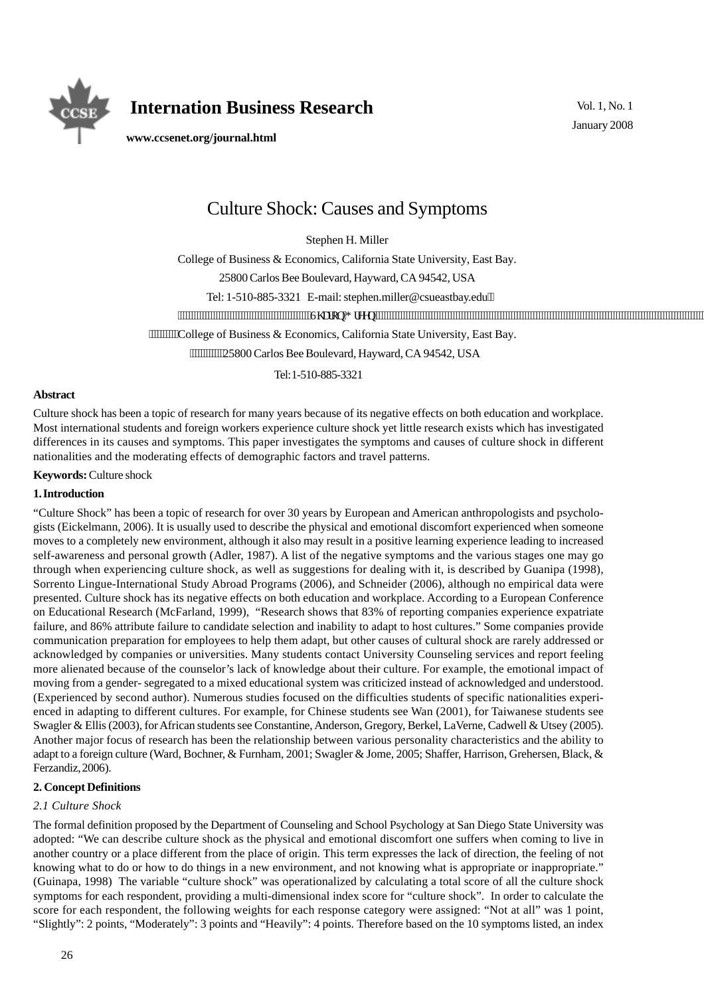

# Culture Shock: Causes and Symptoms

Stephen H. Miller

College of Business & Economics, California State University, East Bay. 25800 Carlos Bee Boulevard, Hayward, CA 94542, USA Tel: 1-510-885-3321 E-mail: stephen.miller@csueastbay.edu www.www.www.www.www.margraphy.crgp" teep" teep" teep" summaning www.www.www.www.www.www.www.www.www.

College of Business & Economics, California State University, East Bay. 25800 Carlos Bee Boulevard, Hayward, CA 94542, USA

Tel: 1-510-885-3321

#### **Abstract**

Culture shock has been a topic of research for many years because of its negative effects on both education and workplace. Most international students and foreign workers experience culture shock yet little research exists which has investigated differences in its causes and symptoms. This paper investigates the symptoms and causes of culture shock in different nationalities and the moderating effects of demographic factors and travel patterns.

#### **Keywords:** Culture shock

#### **1. Introduction**

"Culture Shock" has been a topic of research for over 30 years by European and American anthropologists and psychologists (Eickelmann, 2006). It is usually used to describe the physical and emotional discomfort experienced when someone moves to a completely new environment, although it also may result in a positive learning experience leading to increased self-awareness and personal growth (Adler, 1987). A list of the negative symptoms and the various stages one may go through when experiencing culture shock, as well as suggestions for dealing with it, is described by Guanipa (1998), Sorrento Lingue-International Study Abroad Programs (2006), and Schneider (2006), although no empirical data were presented. Culture shock has its negative effects on both education and workplace. According to a European Conference on Educational Research (McFarland, 1999), "Research shows that 83% of reporting companies experience expatriate failure, and 86% attribute failure to candidate selection and inability to adapt to host cultures." Some companies provide communication preparation for employees to help them adapt, but other causes of cultural shock are rarely addressed or acknowledged by companies or universities. Many students contact University Counseling services and report feeling more alienated because of the counselor's lack of knowledge about their culture. For example, the emotional impact of moving from a gender- segregated to a mixed educational system was criticized instead of acknowledged and understood. (Experienced by second author). Numerous studies focused on the difficulties students of specific nationalities experienced in adapting to different cultures. For example, for Chinese students see Wan (2001), for Taiwanese students see Swagler & Ellis (2003), for African students see Constantine, Anderson, Gregory, Berkel, LaVerne, Cadwell & Utsey (2005). Another major focus of research has been the relationship between various personality characteristics and the ability to adapt to a foreign culture (Ward, Bochner, & Furnham, 2001; Swagler & Jome, 2005; Shaffer, Harrison, Grehersen, Black, & Ferzandiz, 2006).

#### **2. Concept Definitions**

# *2.1 Culture Shock*

The formal definition proposed by the Department of Counseling and School Psychology at San Diego State University was adopted: "We can describe culture shock as the physical and emotional discomfort one suffers when coming to live in another country or a place different from the place of origin. This term expresses the lack of direction, the feeling of not knowing what to do or how to do things in a new environment, and not knowing what is appropriate or inappropriate." (Guinapa, 1998) The variable "culture shock" was operationalized by calculating a total score of all the culture shock symptoms for each respondent, providing a multi-dimensional index score for "culture shock". In order to calculate the score for each respondent, the following weights for each response category were assigned: "Not at all" was 1 point, "Slightly": 2 points, "Moderately": 3 points and "Heavily": 4 points. Therefore based on the 10 symptoms listed, an index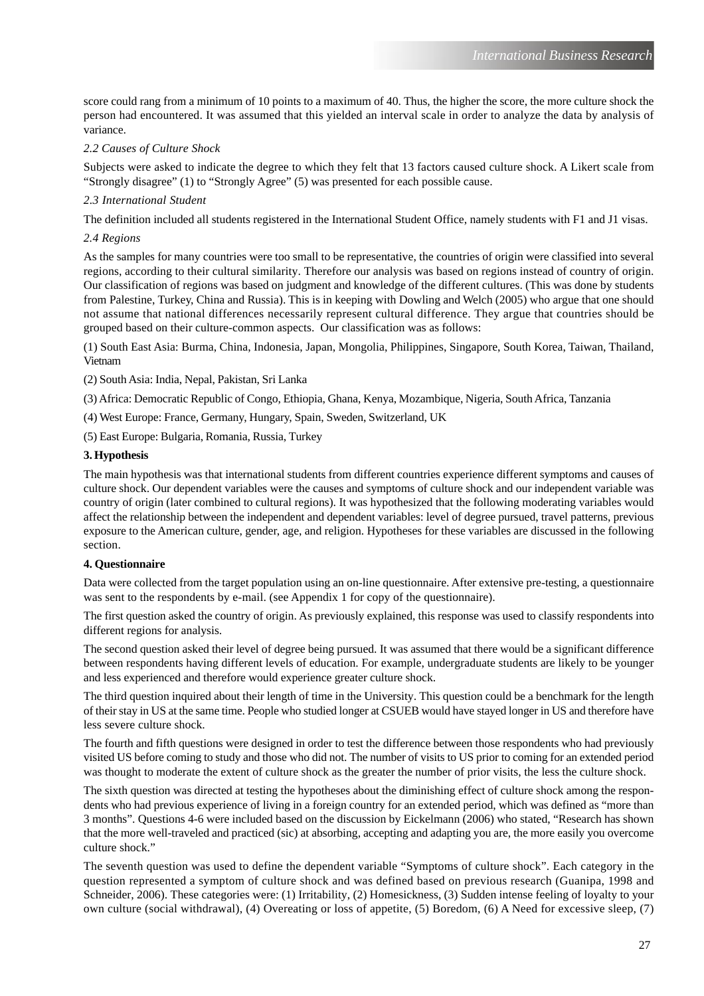score could rang from a minimum of 10 points to a maximum of 40. Thus, the higher the score, the more culture shock the person had encountered. It was assumed that this yielded an interval scale in order to analyze the data by analysis of variance.

# *2.2 Causes of Culture Shock*

Subjects were asked to indicate the degree to which they felt that 13 factors caused culture shock. A Likert scale from "Strongly disagree" (1) to "Strongly Agree" (5) was presented for each possible cause.

#### *2.3 International Student*

The definition included all students registered in the International Student Office, namely students with F1 and J1 visas.

#### *2.4 Regions*

As the samples for many countries were too small to be representative, the countries of origin were classified into several regions, according to their cultural similarity. Therefore our analysis was based on regions instead of country of origin. Our classification of regions was based on judgment and knowledge of the different cultures. (This was done by students from Palestine, Turkey, China and Russia). This is in keeping with Dowling and Welch (2005) who argue that one should not assume that national differences necessarily represent cultural difference. They argue that countries should be grouped based on their culture-common aspects. Our classification was as follows:

(1) South East Asia: Burma, China, Indonesia, Japan, Mongolia, Philippines, Singapore, South Korea, Taiwan, Thailand, Vietnam

(2) South Asia: India, Nepal, Pakistan, Sri Lanka

(3) Africa: Democratic Republic of Congo, Ethiopia, Ghana, Kenya, Mozambique, Nigeria, South Africa, Tanzania

(4) West Europe: France, Germany, Hungary, Spain, Sweden, Switzerland, UK

(5) East Europe: Bulgaria, Romania, Russia, Turkey

#### **3. Hypothesis**

The main hypothesis was that international students from different countries experience different symptoms and causes of culture shock. Our dependent variables were the causes and symptoms of culture shock and our independent variable was country of origin (later combined to cultural regions). It was hypothesized that the following moderating variables would affect the relationship between the independent and dependent variables: level of degree pursued, travel patterns, previous exposure to the American culture, gender, age, and religion. Hypotheses for these variables are discussed in the following section.

# **4. Questionnaire**

Data were collected from the target population using an on-line questionnaire. After extensive pre-testing, a questionnaire was sent to the respondents by e-mail. (see Appendix 1 for copy of the questionnaire).

The first question asked the country of origin. As previously explained, this response was used to classify respondents into different regions for analysis.

The second question asked their level of degree being pursued. It was assumed that there would be a significant difference between respondents having different levels of education. For example, undergraduate students are likely to be younger and less experienced and therefore would experience greater culture shock.

The third question inquired about their length of time in the University. This question could be a benchmark for the length of their stay in US at the same time. People who studied longer at CSUEB would have stayed longer in US and therefore have less severe culture shock.

The fourth and fifth questions were designed in order to test the difference between those respondents who had previously visited US before coming to study and those who did not. The number of visits to US prior to coming for an extended period was thought to moderate the extent of culture shock as the greater the number of prior visits, the less the culture shock.

The sixth question was directed at testing the hypotheses about the diminishing effect of culture shock among the respondents who had previous experience of living in a foreign country for an extended period, which was defined as "more than 3 months". Questions 4-6 were included based on the discussion by Eickelmann (2006) who stated, "Research has shown that the more well-traveled and practiced (sic) at absorbing, accepting and adapting you are, the more easily you overcome culture shock."

The seventh question was used to define the dependent variable "Symptoms of culture shock". Each category in the question represented a symptom of culture shock and was defined based on previous research (Guanipa, 1998 and Schneider, 2006). These categories were: (1) Irritability, (2) Homesickness, (3) Sudden intense feeling of loyalty to your own culture (social withdrawal), (4) Overeating or loss of appetite, (5) Boredom, (6) A Need for excessive sleep, (7)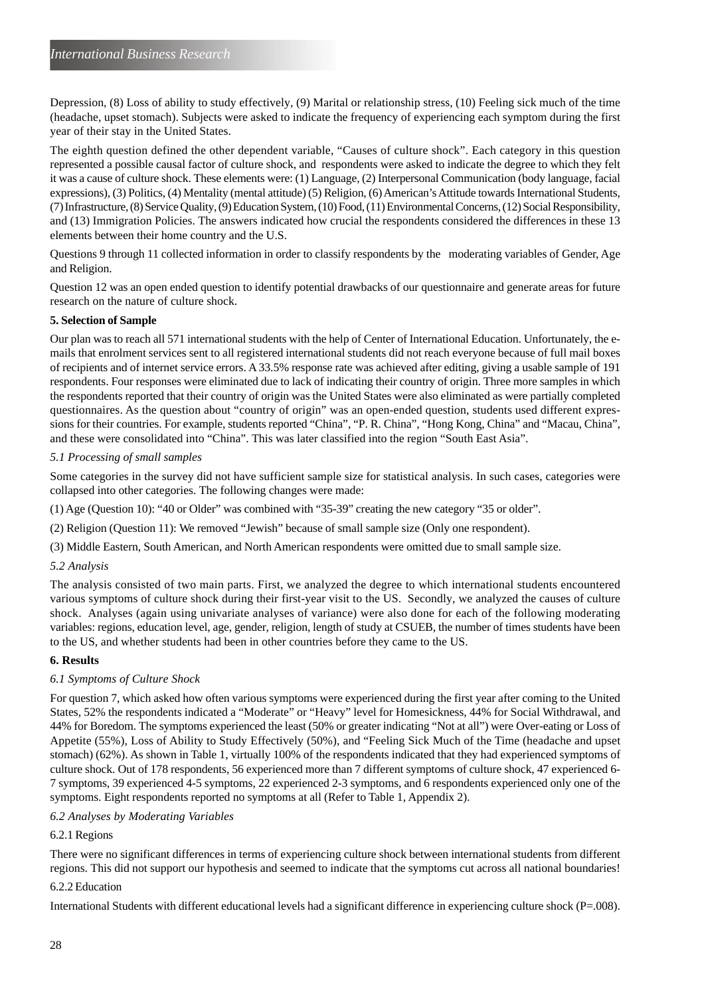Depression, (8) Loss of ability to study effectively, (9) Marital or relationship stress, (10) Feeling sick much of the time (headache, upset stomach). Subjects were asked to indicate the frequency of experiencing each symptom during the first year of their stay in the United States.

The eighth question defined the other dependent variable, "Causes of culture shock". Each category in this question represented a possible causal factor of culture shock, and respondents were asked to indicate the degree to which they felt it was a cause of culture shock. These elements were: (1) Language, (2) Interpersonal Communication (body language, facial expressions), (3) Politics, (4) Mentality (mental attitude) (5) Religion, (6) American's Attitude towards International Students, (7) Infrastructure, (8) Service Quality, (9) Education System, (10) Food, (11) Environmental Concerns, (12) Social Responsibility, and (13) Immigration Policies. The answers indicated how crucial the respondents considered the differences in these 13 elements between their home country and the U.S.

Questions 9 through 11 collected information in order to classify respondents by the moderating variables of Gender, Age and Religion.

Question 12 was an open ended question to identify potential drawbacks of our questionnaire and generate areas for future research on the nature of culture shock.

# **5. Selection of Sample**

Our plan was to reach all 571 international students with the help of Center of International Education. Unfortunately, the emails that enrolment services sent to all registered international students did not reach everyone because of full mail boxes of recipients and of internet service errors. A 33.5% response rate was achieved after editing, giving a usable sample of 191 respondents. Four responses were eliminated due to lack of indicating their country of origin. Three more samples in which the respondents reported that their country of origin was the United States were also eliminated as were partially completed questionnaires. As the question about "country of origin" was an open-ended question, students used different expressions for their countries. For example, students reported "China", "P. R. China", "Hong Kong, China" and "Macau, China", and these were consolidated into "China". This was later classified into the region "South East Asia".

# *5.1 Processing of small samples*

Some categories in the survey did not have sufficient sample size for statistical analysis. In such cases, categories were collapsed into other categories. The following changes were made:

(1) Age (Question 10): "40 or Older" was combined with "35-39" creating the new category "35 or older".

(2) Religion (Question 11): We removed "Jewish" because of small sample size (Only one respondent).

(3) Middle Eastern, South American, and North American respondents were omitted due to small sample size.

# *5.2 Analysis*

The analysis consisted of two main parts. First, we analyzed the degree to which international students encountered various symptoms of culture shock during their first-year visit to the US. Secondly, we analyzed the causes of culture shock. Analyses (again using univariate analyses of variance) were also done for each of the following moderating variables: regions, education level, age, gender, religion, length of study at CSUEB, the number of times students have been to the US, and whether students had been in other countries before they came to the US.

# **6. Results**

# *6.1 Symptoms of Culture Shock*

For question 7, which asked how often various symptoms were experienced during the first year after coming to the United States, 52% the respondents indicated a "Moderate" or "Heavy" level for Homesickness, 44% for Social Withdrawal, and 44% for Boredom. The symptoms experienced the least (50% or greater indicating "Not at all") were Over-eating or Loss of Appetite (55%), Loss of Ability to Study Effectively (50%), and "Feeling Sick Much of the Time (headache and upset stomach) (62%). As shown in Table 1, virtually 100% of the respondents indicated that they had experienced symptoms of culture shock. Out of 178 respondents, 56 experienced more than 7 different symptoms of culture shock, 47 experienced 6- 7 symptoms, 39 experienced 4-5 symptoms, 22 experienced 2-3 symptoms, and 6 respondents experienced only one of the symptoms. Eight respondents reported no symptoms at all (Refer to Table 1, Appendix 2).

# *6.2 Analyses by Moderating Variables*

# 6.2.1 Regions

There were no significant differences in terms of experiencing culture shock between international students from different regions. This did not support our hypothesis and seemed to indicate that the symptoms cut across all national boundaries!

# 6.2.2 Education

International Students with different educational levels had a significant difference in experiencing culture shock (P=.008).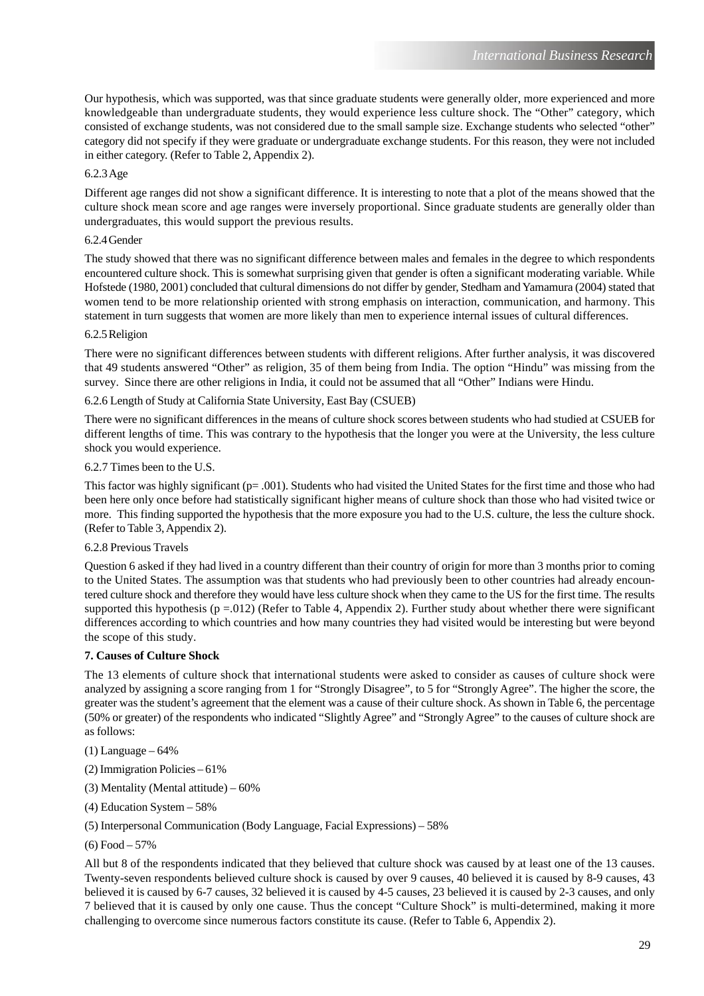Our hypothesis, which was supported, was that since graduate students were generally older, more experienced and more knowledgeable than undergraduate students, they would experience less culture shock. The "Other" category, which consisted of exchange students, was not considered due to the small sample size. Exchange students who selected "other" category did not specify if they were graduate or undergraduate exchange students. For this reason, they were not included in either category. (Refer to Table 2, Appendix 2).

#### 6.2.3 Age

Different age ranges did not show a significant difference. It is interesting to note that a plot of the means showed that the culture shock mean score and age ranges were inversely proportional. Since graduate students are generally older than undergraduates, this would support the previous results.

#### 6.2.4 Gender

The study showed that there was no significant difference between males and females in the degree to which respondents encountered culture shock. This is somewhat surprising given that gender is often a significant moderating variable. While Hofstede (1980, 2001) concluded that cultural dimensions do not differ by gender, Stedham and Yamamura (2004) stated that women tend to be more relationship oriented with strong emphasis on interaction, communication, and harmony. This statement in turn suggests that women are more likely than men to experience internal issues of cultural differences.

#### 6.2.5 Religion

There were no significant differences between students with different religions. After further analysis, it was discovered that 49 students answered "Other" as religion, 35 of them being from India. The option "Hindu" was missing from the survey. Since there are other religions in India, it could not be assumed that all "Other" Indians were Hindu.

6.2.6 Length of Study at California State University, East Bay (CSUEB)

There were no significant differences in the means of culture shock scores between students who had studied at CSUEB for different lengths of time. This was contrary to the hypothesis that the longer you were at the University, the less culture shock you would experience.

#### 6.2.7 Times been to the U.S.

This factor was highly significant ( $p = .001$ ). Students who had visited the United States for the first time and those who had been here only once before had statistically significant higher means of culture shock than those who had visited twice or more. This finding supported the hypothesis that the more exposure you had to the U.S. culture, the less the culture shock. (Refer to Table 3, Appendix 2).

# 6.2.8 Previous Travels

Question 6 asked if they had lived in a country different than their country of origin for more than 3 months prior to coming to the United States. The assumption was that students who had previously been to other countries had already encountered culture shock and therefore they would have less culture shock when they came to the US for the first time. The results supported this hypothesis ( $p = .012$ ) (Refer to Table 4, Appendix 2). Further study about whether there were significant differences according to which countries and how many countries they had visited would be interesting but were beyond the scope of this study.

# **7. Causes of Culture Shock**

The 13 elements of culture shock that international students were asked to consider as causes of culture shock were analyzed by assigning a score ranging from 1 for "Strongly Disagree", to 5 for "Strongly Agree". The higher the score, the greater was the student's agreement that the element was a cause of their culture shock. As shown in Table 6, the percentage (50% or greater) of the respondents who indicated "Slightly Agree" and "Strongly Agree" to the causes of culture shock are as follows:

- $(1)$  Language 64%
- (2) Immigration Policies 61%
- (3) Mentality (Mental attitude) 60%
- (4) Education System 58%
- (5) Interpersonal Communication (Body Language, Facial Expressions) 58%
- (6) Food 57%

All but 8 of the respondents indicated that they believed that culture shock was caused by at least one of the 13 causes. Twenty-seven respondents believed culture shock is caused by over 9 causes, 40 believed it is caused by 8-9 causes, 43 believed it is caused by 6-7 causes, 32 believed it is caused by 4-5 causes, 23 believed it is caused by 2-3 causes, and only 7 believed that it is caused by only one cause. Thus the concept "Culture Shock" is multi-determined, making it more challenging to overcome since numerous factors constitute its cause. (Refer to Table 6, Appendix 2).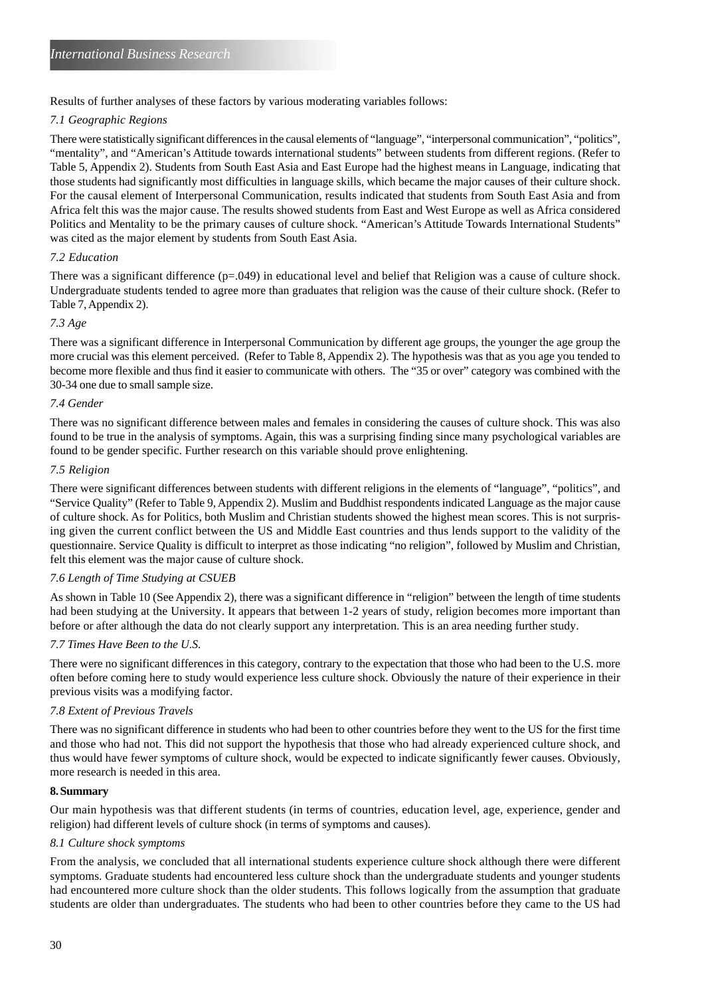Results of further analyses of these factors by various moderating variables follows:

# *7.1 Geographic Regions*

There were statistically significant differences in the causal elements of "language", "interpersonal communication", "politics", "mentality", and "American's Attitude towards international students" between students from different regions. (Refer to Table 5, Appendix 2). Students from South East Asia and East Europe had the highest means in Language, indicating that those students had significantly most difficulties in language skills, which became the major causes of their culture shock. For the causal element of Interpersonal Communication, results indicated that students from South East Asia and from Africa felt this was the major cause. The results showed students from East and West Europe as well as Africa considered Politics and Mentality to be the primary causes of culture shock. "American's Attitude Towards International Students" was cited as the major element by students from South East Asia.

# *7.2 Education*

There was a significant difference  $(p=0.049)$  in educational level and belief that Religion was a cause of culture shock. Undergraduate students tended to agree more than graduates that religion was the cause of their culture shock. (Refer to Table 7, Appendix 2).

# *7.3 Age*

There was a significant difference in Interpersonal Communication by different age groups, the younger the age group the more crucial was this element perceived. (Refer to Table 8, Appendix 2). The hypothesis was that as you age you tended to become more flexible and thus find it easier to communicate with others. The "35 or over" category was combined with the 30-34 one due to small sample size.

# *7.4 Gender*

There was no significant difference between males and females in considering the causes of culture shock. This was also found to be true in the analysis of symptoms. Again, this was a surprising finding since many psychological variables are found to be gender specific. Further research on this variable should prove enlightening.

# *7.5 Religion*

There were significant differences between students with different religions in the elements of "language", "politics", and "Service Quality" (Refer to Table 9, Appendix 2). Muslim and Buddhist respondents indicated Language as the major cause of culture shock. As for Politics, both Muslim and Christian students showed the highest mean scores. This is not surprising given the current conflict between the US and Middle East countries and thus lends support to the validity of the questionnaire. Service Quality is difficult to interpret as those indicating "no religion", followed by Muslim and Christian, felt this element was the major cause of culture shock.

# *7.6 Length of Time Studying at CSUEB*

As shown in Table 10 (See Appendix 2), there was a significant difference in "religion" between the length of time students had been studying at the University. It appears that between 1-2 years of study, religion becomes more important than before or after although the data do not clearly support any interpretation. This is an area needing further study.

# *7.7 Times Have Been to the U.S.*

There were no significant differences in this category, contrary to the expectation that those who had been to the U.S. more often before coming here to study would experience less culture shock. Obviously the nature of their experience in their previous visits was a modifying factor.

# *7.8 Extent of Previous Travels*

There was no significant difference in students who had been to other countries before they went to the US for the first time and those who had not. This did not support the hypothesis that those who had already experienced culture shock, and thus would have fewer symptoms of culture shock, would be expected to indicate significantly fewer causes. Obviously, more research is needed in this area.

# **8. Summary**

Our main hypothesis was that different students (in terms of countries, education level, age, experience, gender and religion) had different levels of culture shock (in terms of symptoms and causes).

# *8.1 Culture shock symptoms*

From the analysis, we concluded that all international students experience culture shock although there were different symptoms. Graduate students had encountered less culture shock than the undergraduate students and younger students had encountered more culture shock than the older students. This follows logically from the assumption that graduate students are older than undergraduates. The students who had been to other countries before they came to the US had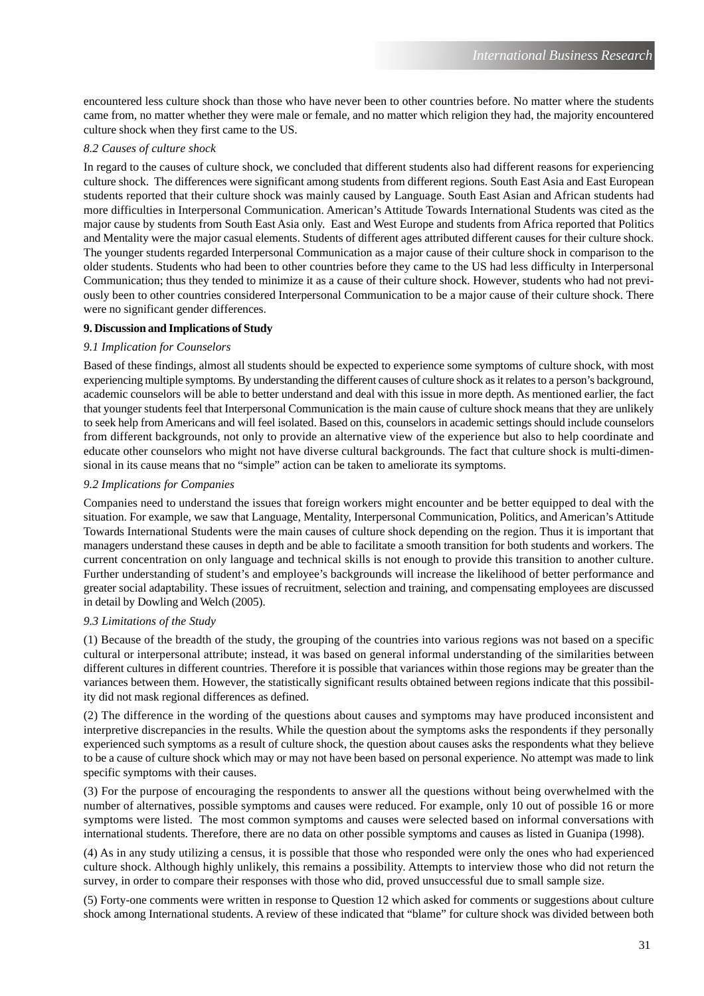encountered less culture shock than those who have never been to other countries before. No matter where the students came from, no matter whether they were male or female, and no matter which religion they had, the majority encountered culture shock when they first came to the US.

#### *8.2 Causes of culture shock*

In regard to the causes of culture shock, we concluded that different students also had different reasons for experiencing culture shock. The differences were significant among students from different regions. South East Asia and East European students reported that their culture shock was mainly caused by Language. South East Asian and African students had more difficulties in Interpersonal Communication. American's Attitude Towards International Students was cited as the major cause by students from South East Asia only. East and West Europe and students from Africa reported that Politics and Mentality were the major casual elements. Students of different ages attributed different causes for their culture shock. The younger students regarded Interpersonal Communication as a major cause of their culture shock in comparison to the older students. Students who had been to other countries before they came to the US had less difficulty in Interpersonal Communication; thus they tended to minimize it as a cause of their culture shock. However, students who had not previously been to other countries considered Interpersonal Communication to be a major cause of their culture shock. There were no significant gender differences.

#### **9. Discussion and Implications of Study**

#### *9.1 Implication for Counselors*

Based of these findings, almost all students should be expected to experience some symptoms of culture shock, with most experiencing multiple symptoms. By understanding the different causes of culture shock as it relates to a person's background, academic counselors will be able to better understand and deal with this issue in more depth. As mentioned earlier, the fact that younger students feel that Interpersonal Communication is the main cause of culture shock means that they are unlikely to seek help from Americans and will feel isolated. Based on this, counselors in academic settings should include counselors from different backgrounds, not only to provide an alternative view of the experience but also to help coordinate and educate other counselors who might not have diverse cultural backgrounds. The fact that culture shock is multi-dimensional in its cause means that no "simple" action can be taken to ameliorate its symptoms.

#### *9.2 Implications for Companies*

Companies need to understand the issues that foreign workers might encounter and be better equipped to deal with the situation. For example, we saw that Language, Mentality, Interpersonal Communication, Politics, and American's Attitude Towards International Students were the main causes of culture shock depending on the region. Thus it is important that managers understand these causes in depth and be able to facilitate a smooth transition for both students and workers. The current concentration on only language and technical skills is not enough to provide this transition to another culture. Further understanding of student's and employee's backgrounds will increase the likelihood of better performance and greater social adaptability. These issues of recruitment, selection and training, and compensating employees are discussed in detail by Dowling and Welch (2005).

#### *9.3 Limitations of the Study*

(1) Because of the breadth of the study, the grouping of the countries into various regions was not based on a specific cultural or interpersonal attribute; instead, it was based on general informal understanding of the similarities between different cultures in different countries. Therefore it is possible that variances within those regions may be greater than the variances between them. However, the statistically significant results obtained between regions indicate that this possibility did not mask regional differences as defined.

(2) The difference in the wording of the questions about causes and symptoms may have produced inconsistent and interpretive discrepancies in the results. While the question about the symptoms asks the respondents if they personally experienced such symptoms as a result of culture shock, the question about causes asks the respondents what they believe to be a cause of culture shock which may or may not have been based on personal experience. No attempt was made to link specific symptoms with their causes.

(3) For the purpose of encouraging the respondents to answer all the questions without being overwhelmed with the number of alternatives, possible symptoms and causes were reduced. For example, only 10 out of possible 16 or more symptoms were listed. The most common symptoms and causes were selected based on informal conversations with international students. Therefore, there are no data on other possible symptoms and causes as listed in Guanipa (1998).

(4) As in any study utilizing a census, it is possible that those who responded were only the ones who had experienced culture shock. Although highly unlikely, this remains a possibility. Attempts to interview those who did not return the survey, in order to compare their responses with those who did, proved unsuccessful due to small sample size.

(5) Forty-one comments were written in response to Question 12 which asked for comments or suggestions about culture shock among International students. A review of these indicated that "blame" for culture shock was divided between both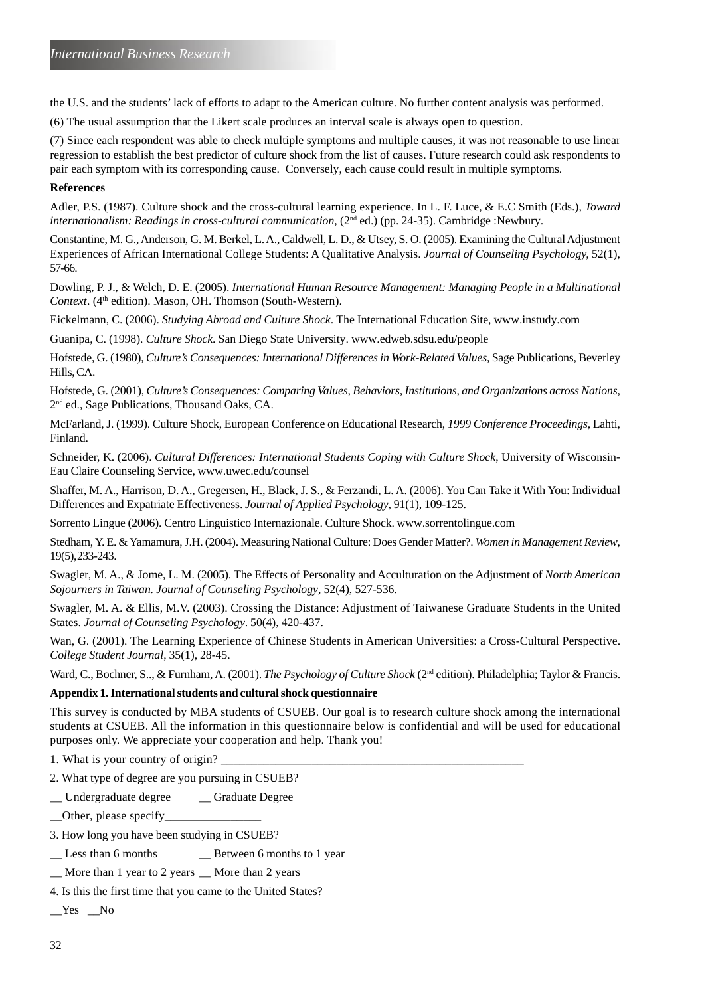the U.S. and the students' lack of efforts to adapt to the American culture. No further content analysis was performed.

(6) The usual assumption that the Likert scale produces an interval scale is always open to question.

(7) Since each respondent was able to check multiple symptoms and multiple causes, it was not reasonable to use linear regression to establish the best predictor of culture shock from the list of causes. Future research could ask respondents to pair each symptom with its corresponding cause. Conversely, each cause could result in multiple symptoms.

# **References**

Adler, P.S. (1987). Culture shock and the cross-cultural learning experience. In L. F. Luce, & E.C Smith (Eds.), *Toward internationalism: Readings in cross-cultural communication*, (2<sup>nd</sup> ed.) (pp. 24-35). Cambridge :Newbury.

Constantine, M. G., Anderson, G. M. Berkel, L. A., Caldwell, L. D., & Utsey, S. O. (2005). Examining the Cultural Adjustment Experiences of African International College Students: A Qualitative Analysis. *Journal of Counseling Psychology,* 52(1), 57-66.

Dowling, P. J., & Welch, D. E. (2005). *International Human Resource Management: Managing People in a Multinational Context*. (4<sup>th</sup> edition). Mason, OH. Thomson (South-Western).

Eickelmann, C. (2006). *Studying Abroad and Culture Shock*. The International Education Site, www.instudy.com

Guanipa, C. (1998). *Culture Shock*. San Diego State University. www.edweb.sdsu.edu/people

Hofstede, G. (1980), *Culture's Consequences: International Differences in Work-Related Values,* Sage Publications, Beverley Hills, CA.

Hofstede, G. (2001), *Culture's Consequences: Comparing Values, Behaviors, Institutions, and Organizations across Nations*, 2 nd ed., Sage Publications, Thousand Oaks, CA.

McFarland, J. (1999). Culture Shock, European Conference on Educational Research, *1999 Conference Proceedings,* Lahti, Finland.

Schneider, K. (2006). *Cultural Differences: International Students Coping with Culture Shock*, University of Wisconsin-Eau Claire Counseling Service, www.uwec.edu/counsel

Shaffer, M. A., Harrison, D. A., Gregersen, H., Black, J. S., & Ferzandi, L. A. (2006). You Can Take it With You: Individual Differences and Expatriate Effectiveness. *Journal of Applied Psychology*, 91(1), 109-125.

Sorrento Lingue (2006). Centro Linguistico Internazionale. Culture Shock. www.sorrentolingue.com

Stedham, Y. E. & Yamamura, J.H. (2004). Measuring National Culture: Does Gender Matter?. *Women in Management Review*, 19(5), 233-243.

Swagler, M. A., & Jome, L. M. (2005). The Effects of Personality and Acculturation on the Adjustment of *North American Sojourners in Taiwan. Journal of Counseling Psychology*, 52(4), 527-536.

Swagler, M. A. & Ellis, M.V. (2003). Crossing the Distance: Adjustment of Taiwanese Graduate Students in the United States. *Journal of Counseling Psychology*. 50(4), 420-437.

Wan, G. (2001). The Learning Experience of Chinese Students in American Universities: a Cross-Cultural Perspective. *College Student Journal*, 35(1), 28-45.

Ward, C., Bochner, S.., & Furnham, A. (2001). *The Psychology of Culture Shock* (2nd edition). Philadelphia; Taylor & Francis.

# **Appendix 1. International students and cultural shock questionnaire**

This survey is conducted by MBA students of CSUEB. Our goal is to research culture shock among the international students at CSUEB. All the information in this questionnaire below is confidential and will be used for educational purposes only. We appreciate your cooperation and help. Thank you!

1. What is your country of origin?

- 2. What type of degree are you pursuing in CSUEB?
- \_\_ Undergraduate degree \_\_ Graduate Degree
- \_\_Other, please specify\_\_\_\_\_\_\_\_\_\_\_\_\_\_\_\_
- 3. How long you have been studying in CSUEB?
- \_\_ Less than 6 months \_\_ Between 6 months to 1 year
- \_\_ More than 1 year to 2 years \_\_ More than 2 years
- 4. Is this the first time that you came to the United States?

\_\_Yes \_\_No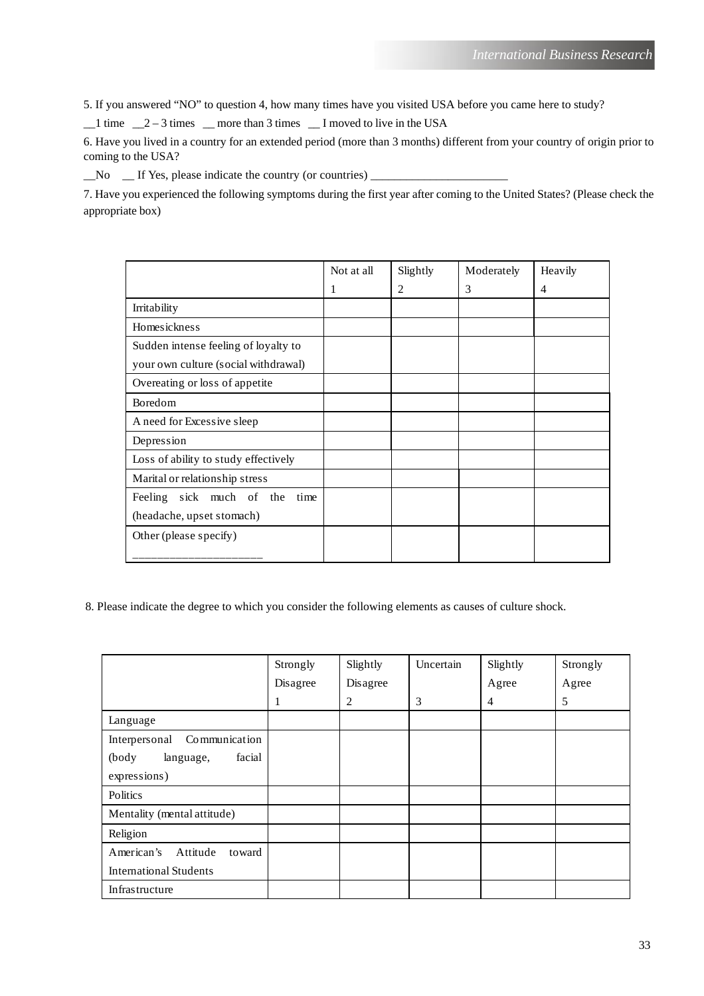5. If you answered "NO" to question 4, how many times have you visited USA before you came here to study?

 $\frac{1}{2}$  time  $\frac{2}{3}$  times  $\frac{1}{2}$  moved to live in the USA

6. Have you lived in a country for an extended period (more than 3 months) different from your country of origin prior to coming to the USA?

 $\Box$ No  $\Box$  If Yes, please indicate the country (or countries)  $\Box$ 

7. Have you experienced the following symptoms during the first year after coming to the United States? (Please check the appropriate box)

|                                      | Not at all | Slightly       | Moderately | Heavily |
|--------------------------------------|------------|----------------|------------|---------|
|                                      |            | $\overline{2}$ | 3          | 4       |
| Irritability                         |            |                |            |         |
| Homesickness                         |            |                |            |         |
| Sudden intense feeling of loyalty to |            |                |            |         |
| your own culture (social withdrawal) |            |                |            |         |
| Overeating or loss of appetite       |            |                |            |         |
| Boredom                              |            |                |            |         |
| A need for Excessive sleep           |            |                |            |         |
| Depression                           |            |                |            |         |
| Loss of ability to study effectively |            |                |            |         |
| Marital or relationship stress       |            |                |            |         |
| Feeling sick much of the<br>time     |            |                |            |         |
| (headache, upset stomach)            |            |                |            |         |
| Other (please specify)               |            |                |            |         |
|                                      |            |                |            |         |

8. Please indicate the degree to which you consider the following elements as causes of culture shock.

|                                  | Strongly | Slightly | Uncertain | Slightly       | Strongly |
|----------------------------------|----------|----------|-----------|----------------|----------|
|                                  | Disagree | Disagree |           | Agree          | Agree    |
|                                  |          | 2        | 3         | $\overline{4}$ | 5        |
| Language                         |          |          |           |                |          |
| Interpersonal Communication      |          |          |           |                |          |
| facial<br>(body)<br>language,    |          |          |           |                |          |
| expressions)                     |          |          |           |                |          |
| Politics                         |          |          |           |                |          |
| Mentality (mental attitude)      |          |          |           |                |          |
| Religion                         |          |          |           |                |          |
| American's<br>Attitude<br>toward |          |          |           |                |          |
| <b>International Students</b>    |          |          |           |                |          |
| Infrastructure                   |          |          |           |                |          |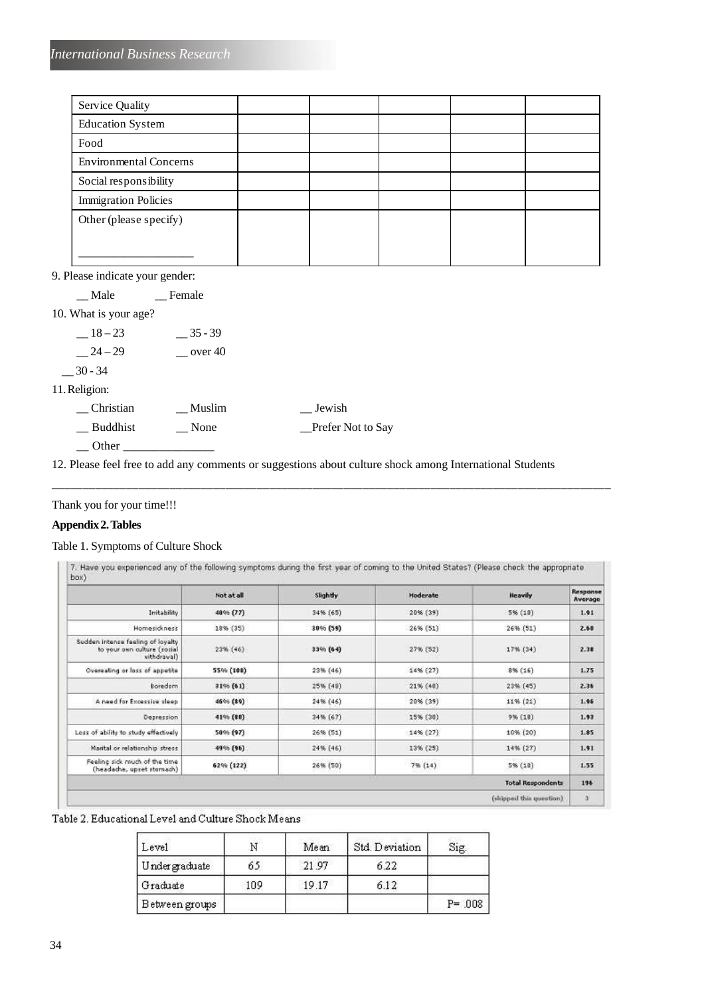| Service Quality               |  |  |  |
|-------------------------------|--|--|--|
| <b>Education System</b>       |  |  |  |
| Food                          |  |  |  |
| <b>Environmental Concerns</b> |  |  |  |
| Social responsibility         |  |  |  |
| <b>Immigration Policies</b>   |  |  |  |
| Other (please specify)        |  |  |  |
|                               |  |  |  |
|                               |  |  |  |

9. Please indicate your gender:

| Male                  | Female    |                   |  |
|-----------------------|-----------|-------------------|--|
| 10. What is your age? |           |                   |  |
| $18 - 23$             | $35 - 39$ |                   |  |
| $24 - 29$             | over 40   |                   |  |
| $-30 - 34$            |           |                   |  |
| 11. Religion:         |           |                   |  |
| Christian             | Muslim    | Jewish            |  |
| Buddhist              | None      | Prefer Not to Say |  |
| Other                 |           |                   |  |
|                       |           |                   |  |

12. Please feel free to add any comments or suggestions about culture shock among International Students

\_\_\_\_\_\_\_\_\_\_\_\_\_\_\_\_\_\_\_\_\_\_\_\_\_\_\_\_\_\_\_\_\_\_\_\_\_\_\_\_\_\_\_\_\_\_\_\_\_\_\_\_\_\_\_\_\_\_\_\_\_\_\_\_\_\_\_\_\_\_\_\_\_\_\_\_\_\_\_\_\_\_\_\_\_\_\_\_\_\_

Thank you for your time!!!

# **Appendix 2. Tables**

Table 1. Symptoms of Culture Shock

| Not at all  | <b>Slightly</b> | Moderate    | Heavily                  | Response<br>Average |
|-------------|-----------------|-------------|--------------------------|---------------------|
| 40% (77)    | 34% (65)        | 20% (39)    | $5\%(10)$                | 1.91                |
| 18% (35)    | 30% (59)        | $26\% (51)$ | 26% (51)                 | 2,80                |
| $23\%$ (46) | 3396 (64)       | 27% (52)    | 17% (34)                 | 2.30                |
| 55% (108)   | 23% (46)        | 14% (27)    | $8\%$ (16)               | 1.75                |
| 31% (61)    | 25% (48)        | $21\% (40)$ | 23% (45)                 | 2.36                |
| 46% (89)    | 24% (46)        | $20\%$ (39) | 11% (21)                 | 1.96                |
| $41%$ (\$0) | 34% (67)        | 15% (30)    | 9% (18)                  | 1.93                |
| 50% (97)    | 26% (51)        | 14% (27)    | 10% (20)                 | 1.85                |
| 49% (96)    | 24% (46)        | 13% (25)    | $14%$ (27)               | 1.91                |
| 6296 (122)  | 26% (50)        | 7% (14)     | $5\%(10)$                | 1.55                |
|             |                 |             | <b>Total Respondents</b> | 194                 |
|             |                 | Vii         |                          |                     |

Table 2. Educational Level and Culture Shock Means

| Level          |     | Mean  | Std. Deviation | Sig.      |
|----------------|-----|-------|----------------|-----------|
| Undergraduate  | 65  | 21.97 | 6.22           |           |
| Grachiate      | 109 | 19.17 | 6.12           |           |
| Between groups |     |       |                | $P = 008$ |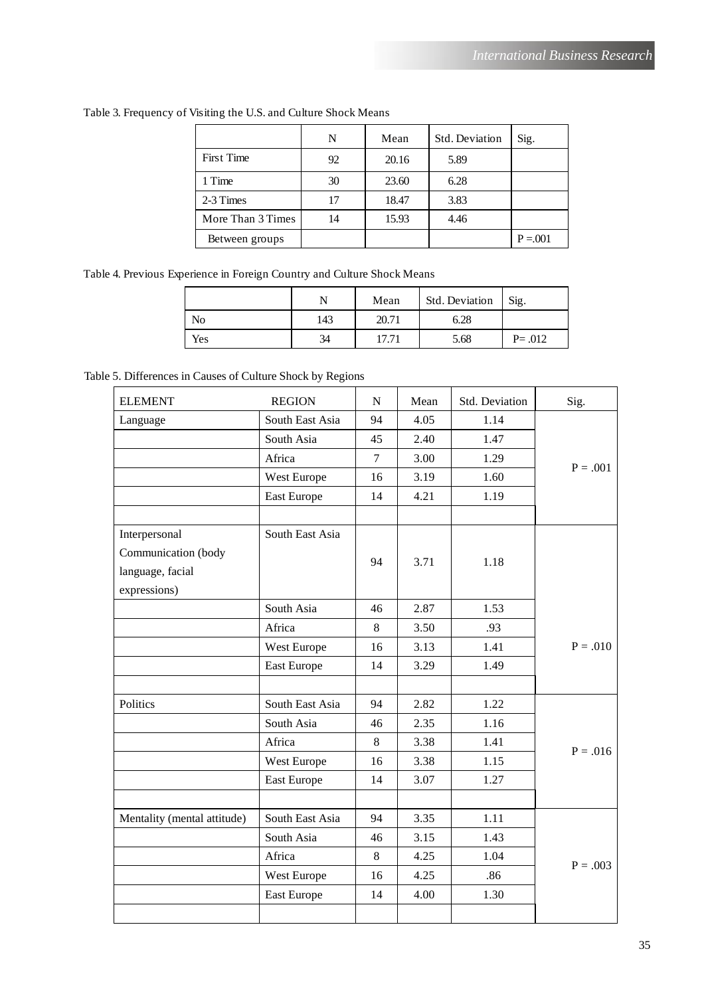|            |    | Mean  | Std. Deviation | Sig. |
|------------|----|-------|----------------|------|
| First Time | 92 | 20.16 | 5.89           |      |
| 1 Time     | 30 | 23.60 | 6.28           |      |
| 2-3 Times  | 17 | 18.47 | 3.83           |      |

More Than 3 Times 14 15.93 4.46

Table 3. Frequency of Visiting the U.S. and Culture Shock Means

|  |  |  |  | Table 4. Previous Experience in Foreign Country and Culture Shock Means |
|--|--|--|--|-------------------------------------------------------------------------|
|--|--|--|--|-------------------------------------------------------------------------|

|     |     | Mean  | Std. Deviation | Sig.       |
|-----|-----|-------|----------------|------------|
| No  | 143 | 20.71 | 6.28           |            |
| Yes | 34  | 17.71 | 5.68           | $P = .012$ |

Between groups  $\vert$   $P = .001$ 

Table 5. Differences in Causes of Culture Shock by Regions

| <b>ELEMENT</b>              | <b>REGION</b>   | $\mathbf N$    | Mean | Std. Deviation | Sig.       |
|-----------------------------|-----------------|----------------|------|----------------|------------|
| Language                    | South East Asia | 94             | 4.05 | 1.14           |            |
|                             | South Asia      | 45             | 2.40 | 1.47           |            |
|                             | Africa          | $\overline{7}$ | 3.00 | 1.29           | $P=.001$   |
|                             | West Europe     | 16             | 3.19 | 1.60           |            |
|                             | East Europe     | 14             | 4.21 | 1.19           |            |
|                             |                 |                |      |                |            |
| Interpersonal               | South East Asia |                |      |                |            |
| Communication (body         |                 | 94             | 3.71 | 1.18           |            |
| language, facial            |                 |                |      |                |            |
| expressions)                |                 |                |      |                |            |
|                             | South Asia      | 46             | 2.87 | 1.53           |            |
|                             | Africa          | 8              | 3.50 | .93            |            |
|                             | West Europe     | 16             | 3.13 | 1.41           | $P = .010$ |
|                             | East Europe     | 14             | 3.29 | 1.49           |            |
|                             |                 |                |      |                |            |
| Politics                    | South East Asia | 94             | 2.82 | 1.22           |            |
|                             | South Asia      | 46             | 2.35 | 1.16           |            |
|                             | Africa          | 8              | 3.38 | 1.41           | $P = .016$ |
|                             | West Europe     | 16             | 3.38 | 1.15           |            |
|                             | East Europe     | 14             | 3.07 | 1.27           |            |
|                             |                 |                |      |                |            |
| Mentality (mental attitude) | South East Asia | 94             | 3.35 | 1.11           |            |
|                             | South Asia      | 46             | 3.15 | 1.43           |            |
|                             | Africa          | 8              | 4.25 | 1.04           |            |
|                             | West Europe     | 16             | 4.25 | .86            | $P = .003$ |
|                             | East Europe     | 14             | 4.00 | 1.30           |            |
|                             |                 |                |      |                |            |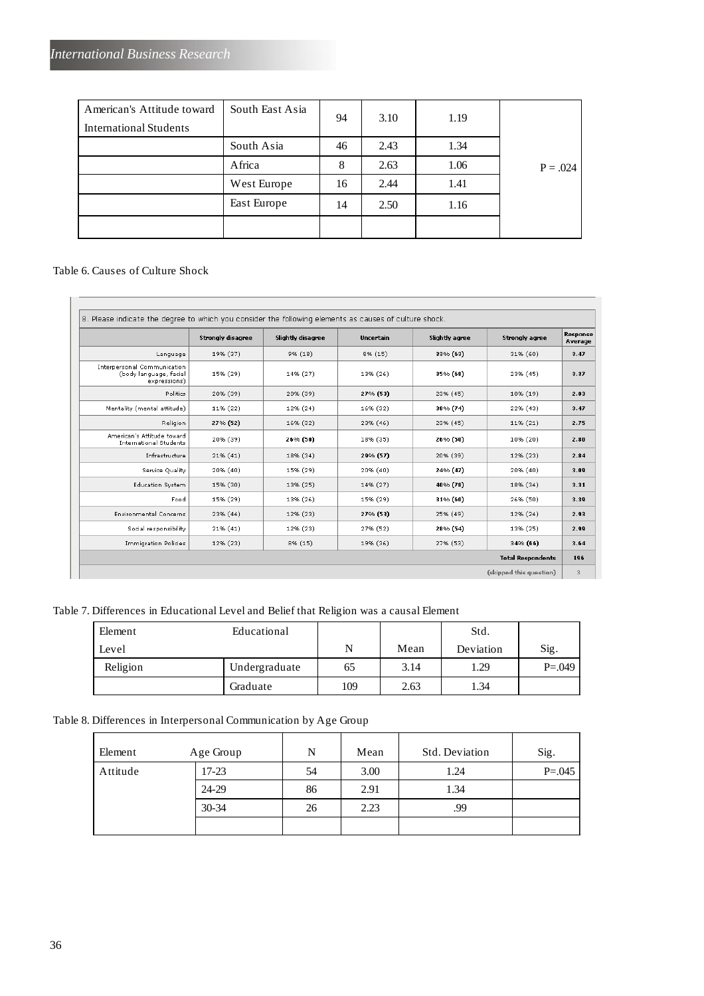| American's Attitude toward<br><b>International Students</b> | South East Asia | 94 | 3.10 | 1.19 |            |
|-------------------------------------------------------------|-----------------|----|------|------|------------|
|                                                             | South Asia      | 46 | 2.43 | 1.34 |            |
|                                                             | Africa          | 8  | 2.63 | 1.06 | $P = .024$ |
|                                                             | West Europe     | 16 | 2.44 | 1.41 |            |
|                                                             | East Europe     | 14 | 2.50 | 1.16 |            |
|                                                             |                 |    |      |      |            |

# Table 6. Causes of Culture Shock

|                                                                       | <b>Strongly disagree</b> | Slightly disagree | Uncertain | Slightly agree | <b>Strongly agree</b>    | Response<br>Average |
|-----------------------------------------------------------------------|--------------------------|-------------------|-----------|----------------|--------------------------|---------------------|
| Language                                                              | 19% (37)                 | 9% (18)           | 8% (15)   | 33% (63)       | $31\%(60)$               | 3.47                |
| Interpersonal Communication<br>(body language, facial<br>expressions) | 15% (29)                 | 14% (27)          | 13% (26)  | 35% (68)       | 23% (45)                 | 3.37                |
| Politics                                                              | 20% (39)                 | 20% (39)          | 27% (53)  | 23% (45)       | 10% (19)                 | 2.83                |
| Mentality (mental attitude)                                           | 11% (22)                 | 12% (24)          | 16% (32)  | 38% (74)       | 22% (43)                 | 3.47                |
| Religion                                                              | 27% (52)                 | 16% (32)          | 23% (46)  | 23% (45)       | $11\%(21)$               | 2.75                |
| American's Attitude toward<br><b>International Students</b>           | 20% (39)                 | 26% (50)          | 18% (35)  | 26% (50)       | 10% (20)                 | 2.80                |
| Infrastructure                                                        | $21\%$ (41)              | 18% (34)          | 29% (57)  | 20% (39)       | 12% (23)                 | 2.84                |
| Service Quality                                                       | 20% (40)                 | 15% (29)          | 20% (40)  | 24% (47)       | 20% (40)                 | 3.09                |
| <b>Education System</b>                                               | 15% (30)                 | 13% (25)          | 14% (27)  | 40% (78)       | 18% (34)                 | 3.31                |
| Food                                                                  | 15% (29)                 | 13% (26)          | 15% (29)  | $31\% (60)$    | 26% (50)                 | 3.39                |
| <b>Environmental Concerns</b>                                         | 23% (44)                 | 12% (23)          | 27% (53)  | 25% (49)       | 12% (24)                 | 2.93                |
| Social responsibility                                                 | $21\%$ (41)              | 12% (23)          | 27% (52)  | 28% (54)       | 13% (25)                 | 2.99                |
| <b>Immigration Policies</b>                                           | 12% (23)                 | 8% (15)           | 19% (36)  | 27% (53)       | 34% (56)                 | 3.64                |
|                                                                       |                          |                   |           |                | <b>Total Respondents</b> | 196                 |

Table 7. Differences in Educational Level and Belief that Religion was a causal Element

| Element  | Educational   |     |      | Std.      |             |
|----------|---------------|-----|------|-----------|-------------|
| Level    |               | N   | Mean | Deviation | Sig.        |
| Religion | Undergraduate | 65  | 3.14 | 1.29      | $P = 0.049$ |
|          | Graduate      | 109 | 2.63 | 1.34      |             |

Table 8. Differences in Interpersonal Communication by Age Group

| Element  | Age Group | N  | Mean | Std. Deviation | Sig.        |
|----------|-----------|----|------|----------------|-------------|
| Attitude | $17 - 23$ | 54 | 3.00 | 1.24           | $P = 0.045$ |
|          | 24-29     | 86 | 2.91 | 1.34           |             |
|          | $30-34$   | 26 | 2.23 | .99            |             |
|          |           |    |      |                |             |